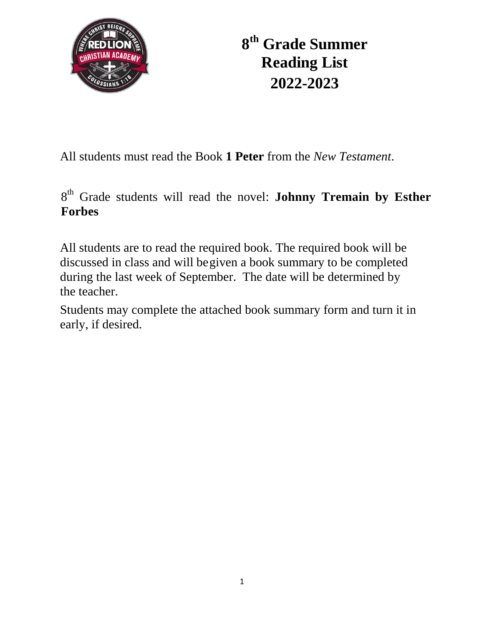

**8 th Grade Summer Reading List 2022-2023**

All students must read the Book **1 Peter** from the *New Testament*.

8<sup>th</sup> Grade students will read the novel: **Johnny Tremain by Esther Forbes**

All students are to read the required book. The required book will be discussed in class and will begiven a book summary to be completed during the last week of September. The date will be determined by the teacher.

Students may complete the attached book summary form and turn it in early, if desired.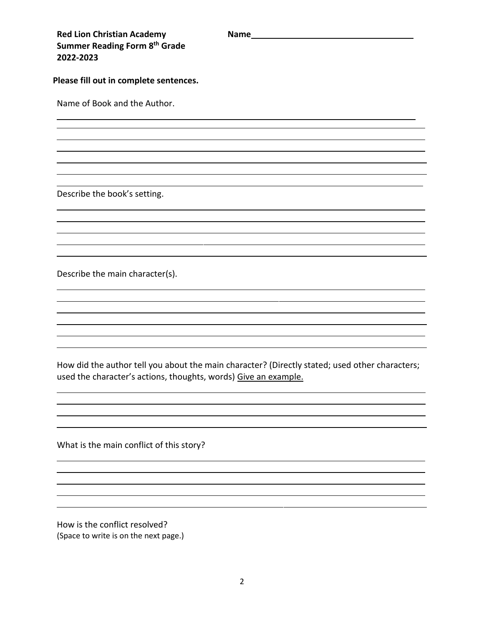| <b>Red Lion Christian Academy</b><br>Summer Reading Form 8th Grade<br>2022-2023 | <b>Name</b> |
|---------------------------------------------------------------------------------|-------------|
| Please fill out in complete sentences.                                          |             |
| Name of Book and the Author.                                                    |             |
|                                                                                 |             |

Describe the book's setting.

Describe the main character(s).

How did the author tell you about the main character? (Directly stated; used other characters; used the character's actions, thoughts, words) Give an example.

What is the main conflict of this story?

How is the conflict resolved? (Space to write is on the next page.)